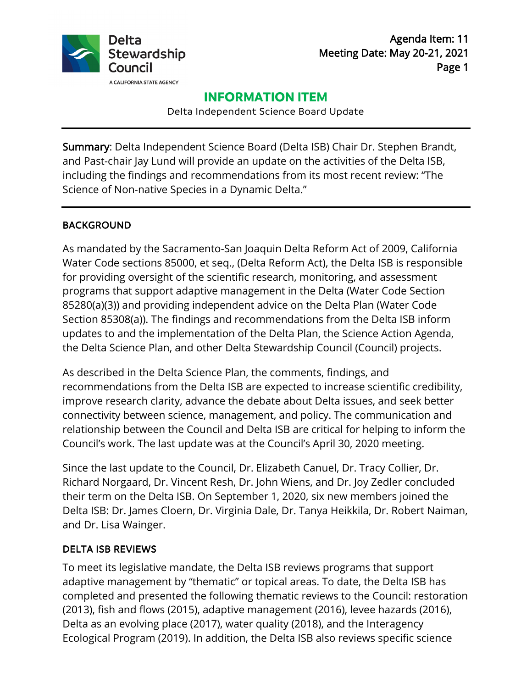

Agenda Item: 11 Meeting Date: May 20-21, 2021 Page 1

# **INFORMATION ITEM**

Delta Independent Science Board Update

Summary: Delta Independent Science Board (Delta ISB) Chair Dr. Stephen Brandt, and Past-chair Jay Lund will provide an update on the activities of the Delta ISB, including the findings and recommendations from its most recent review: "The Science of Non-native Species in a Dynamic Delta."

## BACKGROUND

As mandated by the Sacramento-San Joaquin Delta Reform Act of 2009, California Water Code sections 85000, et seq., (Delta Reform Act), the Delta ISB is responsible for providing oversight of the scientific research, monitoring, and assessment programs that support adaptive management in the Delta (Water Code Section 85280(a)(3)) and providing independent advice on the Delta Plan (Water Code Section 85308(a)). The findings and recommendations from the Delta ISB inform updates to and the implementation of the Delta Plan, the Science Action Agenda, the Delta Science Plan, and other Delta Stewardship Council (Council) projects.

As described in the Delta Science Plan, the comments, findings, and recommendations from the Delta ISB are expected to increase scientific credibility, improve research clarity, advance the debate about Delta issues, and seek better connectivity between science, management, and policy. The communication and relationship between the Council and Delta ISB are critical for helping to inform the Council's work. The last update was at the Council's April 30, 2020 meeting.

Since the last update to the Council, Dr. Elizabeth Canuel, Dr. Tracy Collier, Dr. Richard Norgaard, Dr. Vincent Resh, Dr. John Wiens, and Dr. Joy Zedler concluded their term on the Delta ISB. On September 1, 2020, six new members joined the Delta ISB: Dr. James Cloern, Dr. Virginia Dale, Dr. Tanya Heikkila, Dr. Robert Naiman, and Dr. Lisa Wainger.

## DELTA ISB REVIEWS

To meet its legislative mandate, the Delta ISB reviews programs that support adaptive management by "thematic" or topical areas. To date, the Delta ISB has completed and presented the following thematic reviews to the Council: restoration (2013), fish and flows (2015), adaptive management (2016), levee hazards (2016), Delta as an evolving place (2017), water quality (2018), and the Interagency Ecological Program (2019). In addition, the Delta ISB also reviews specific science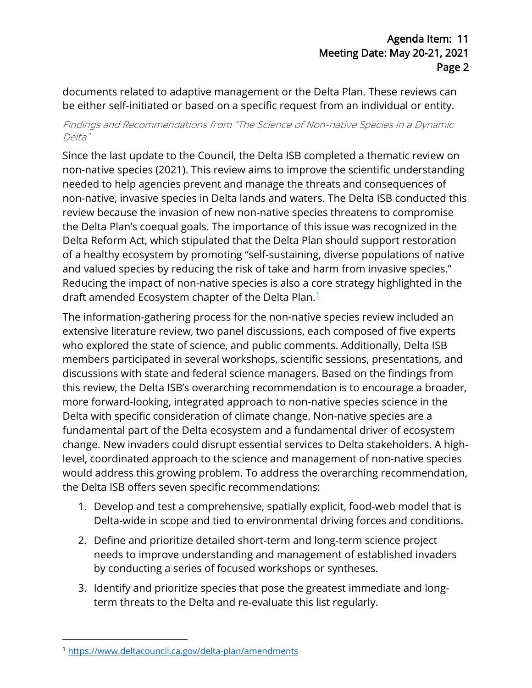documents related to adaptive management or the Delta Plan. These reviews can be either self-initiated or based on a specific request from an individual or entity.

### Findings and Recommendations from "The Science of Non-native Species in a Dynamic Delta"

Since the last update to the Council, the Delta ISB completed a thematic review on non-native species (2021). This review aims to improve the scientific understanding needed to help agencies prevent and manage the threats and consequences of non-native, invasive species in Delta lands and waters. The Delta ISB conducted this review because the invasion of new non-native species threatens to compromise the Delta Plan's coequal goals. The importance of this issue was recognized in the Delta Reform Act, which stipulated that the Delta Plan should support restoration of a healthy ecosystem by promoting "self-sustaining, diverse populations of native and valued species by reducing the risk of take and harm from invasive species." Reducing the impact of non-native species is also a core strategy highlighted in the draft amended Ecosystem chapter of the Delta Plan. [1](#page-1-0)

The information-gathering process for the non-native species review included an extensive literature review, two panel discussions, each composed of five experts who explored the state of science, and public comments. Additionally, Delta ISB members participated in several workshops, scientific sessions, presentations, and discussions with state and federal science managers. Based on the findings from this review, the Delta ISB's overarching recommendation is to encourage a broader, more forward-looking, integrated approach to non-native species science in the Delta with specific consideration of climate change. Non-native species are a fundamental part of the Delta ecosystem and a fundamental driver of ecosystem change. New invaders could disrupt essential services to Delta stakeholders. A highlevel, coordinated approach to the science and management of non-native species would address this growing problem. To address the overarching recommendation, the Delta ISB offers seven specific recommendations:

- 1. Develop and test a comprehensive, spatially explicit, food-web model that is Delta-wide in scope and tied to environmental driving forces and conditions.
- 2. Define and prioritize detailed short-term and long-term science project needs to improve understanding and management of established invaders by conducting a series of focused workshops or syntheses.
- 3. Identify and prioritize species that pose the greatest immediate and longterm threats to the Delta and re-evaluate this list regularly.

<span id="page-1-0"></span><sup>1</sup> <https://www.deltacouncil.ca.gov/delta-plan/amendments>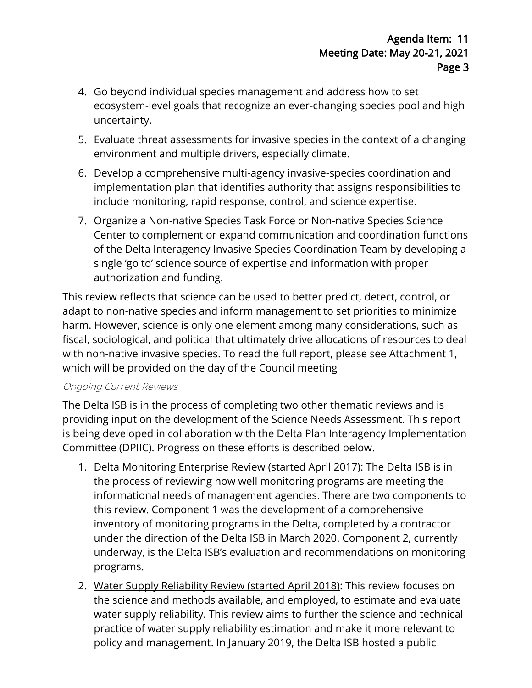- 4. Go beyond individual species management and address how to set ecosystem-level goals that recognize an ever-changing species pool and high uncertainty.
- 5. Evaluate threat assessments for invasive species in the context of a changing environment and multiple drivers, especially climate.
- 6. Develop a comprehensive multi-agency invasive-species coordination and implementation plan that identifies authority that assigns responsibilities to include monitoring, rapid response, control, and science expertise.
- 7. Organize a Non-native Species Task Force or Non-native Species Science Center to complement or expand communication and coordination functions of the Delta Interagency Invasive Species Coordination Team by developing a single 'go to' science source of expertise and information with proper authorization and funding.

This review reflects that science can be used to better predict, detect, control, or adapt to non-native species and inform management to set priorities to minimize harm. However, science is only one element among many considerations, such as fiscal, sociological, and political that ultimately drive allocations of resources to deal with non-native invasive species. To read the full report, please see Attachment 1, which will be provided on the day of the Council meeting

### Ongoing Current Reviews

The Delta ISB is in the process of completing two other thematic reviews and is providing input on the development of the Science Needs Assessment. This report is being developed in collaboration with the Delta Plan Interagency Implementatio n Committee (DPIIC). Progress on these efforts is described below.

- 1. Delta Monitoring Enterprise Review (started April 2017): The Delta ISB is in the process of reviewing how well monitoring programs are meeting the informational needs of management agencies. There are two components to this review. Component 1 was the development of a comprehensive inventory of monitoring programs in the Delta, completed by a contractor under the direction of the Delta ISB in March 2020. Component 2, currently underway, is the Delta ISB's evaluation and recommendations on monitoring programs.
- 2. Water Supply Reliability Review (started April 2018): This review focuses on the science and methods available, and employed, to estimate and evaluate water supply reliability. This review aims to further the science and technical practice of water supply reliability estimation and make it more relevant to policy and management. In January 2019, the Delta ISB hosted a public